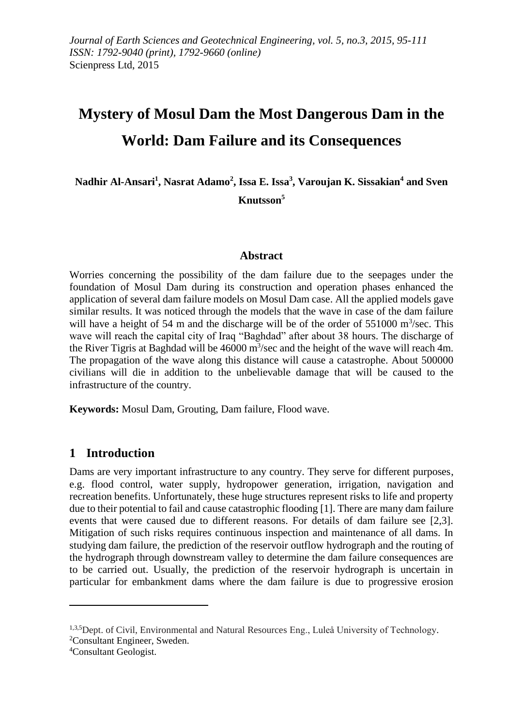# **Mystery of Mosul Dam the Most Dangerous Dam in the World: Dam Failure and its Consequences**

**Nadhir Al-Ansari<sup>1</sup> , Nasrat Adamo<sup>2</sup> , Issa E. Issa<sup>3</sup> , Varoujan K. Sissakian<sup>4</sup> and Sven Knutsson<sup>5</sup>**

#### **Abstract**

Worries concerning the possibility of the dam failure due to the seepages under the foundation of Mosul Dam during its construction and operation phases enhanced the application of several dam failure models on Mosul Dam case. All the applied models gave similar results. It was noticed through the models that the wave in case of the dam failure will have a height of 54 m and the discharge will be of the order of  $551000 \text{ m}^3/\text{sec}$ . This wave will reach the capital city of Iraq "Baghdad" after about 38 hours. The discharge of the River Tigris at Baghdad will be  $46000 \text{ m}^3/\text{sec}$  and the height of the wave will reach 4m. The propagation of the wave along this distance will cause a catastrophe. About 500000 civilians will die in addition to the unbelievable damage that will be caused to the infrastructure of the country.

**Keywords:** Mosul Dam, Grouting, Dam failure, Flood wave.

## **1 Introduction**

Dams are very important infrastructure to any country. They serve for different purposes, e.g. flood control, water supply, hydropower generation, irrigation, navigation and recreation benefits. Unfortunately, these huge structures represent risks to life and property due to their potential to fail and cause catastrophic flooding [1]. There are many dam failure events that were caused due to different reasons. For details of dam failure see [2,3]. Mitigation of such risks requires continuous inspection and maintenance of all dams. In studying dam failure, the prediction of the reservoir outflow hydrograph and the routing of the hydrograph through downstream valley to determine the dam failure consequences are to be carried out. Usually, the prediction of the reservoir hydrograph is uncertain in particular for embankment dams where the dam failure is due to progressive erosion

1

<sup>1,3,5</sup>Dept. of Civil, Environmental and Natural Resources Eng., Luleå University of Technology. <sup>2</sup>Consultant Engineer, Sweden.

<sup>4</sup>Consultant Geologist.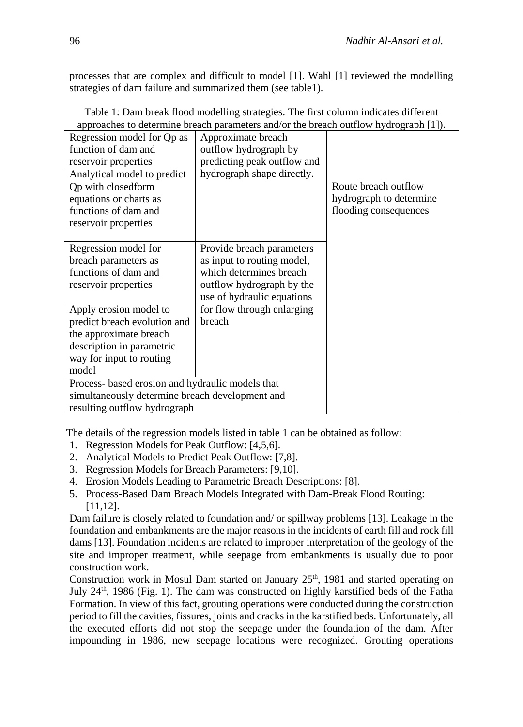processes that are complex and difficult to model [1]. Wahl [1] reviewed the modelling strategies of dam failure and summarized them (see table1).

| Regression model for Qp as                       | Approximate breach          |                         |
|--------------------------------------------------|-----------------------------|-------------------------|
| function of dam and                              | outflow hydrograph by       |                         |
| reservoir properties                             | predicting peak outflow and |                         |
| Analytical model to predict                      | hydrograph shape directly.  |                         |
| <b>Qp</b> with closedform                        |                             | Route breach outflow    |
| equations or charts as                           |                             | hydrograph to determine |
| functions of dam and                             |                             | flooding consequences   |
| reservoir properties                             |                             |                         |
|                                                  |                             |                         |
| Regression model for                             | Provide breach parameters   |                         |
| breach parameters as                             | as input to routing model,  |                         |
| functions of dam and                             | which determines breach     |                         |
| reservoir properties                             | outflow hydrograph by the   |                         |
|                                                  | use of hydraulic equations  |                         |
| Apply erosion model to                           | for flow through enlarging  |                         |
| predict breach evolution and                     | breach                      |                         |
| the approximate breach                           |                             |                         |
| description in parametric                        |                             |                         |
| way for input to routing                         |                             |                         |
| model                                            |                             |                         |
| Process- based erosion and hydraulic models that |                             |                         |
| simultaneously determine breach development and  |                             |                         |
| resulting outflow hydrograph                     |                             |                         |

Table 1: Dam break flood modelling strategies. The first column indicates different approaches to determine breach parameters and/or the breach outflow hydrograph [1]).

The details of the regression models listed in table 1 can be obtained as follow:

- 1. Regression Models for Peak Outflow: [4,5,6].
- 2. Analytical Models to Predict Peak Outflow: [7,8].
- 3. Regression Models for Breach Parameters: [9,10].
- 4. Erosion Models Leading to Parametric Breach Descriptions: [8].
- 5. Process-Based Dam Breach Models Integrated with Dam-Break Flood Routing: [11,12].

Dam failure is closely related to foundation and/ or spillway problems [13]. Leakage in the foundation and embankments are the major reasons in the incidents of earth fill and rock fill dams [13]. Foundation incidents are related to improper interpretation of the geology of the site and improper treatment, while seepage from embankments is usually due to poor construction work.

Construction work in Mosul Dam started on January 25<sup>th</sup>, 1981 and started operating on July 24<sup>th</sup>, 1986 (Fig. 1). The dam was constructed on highly karstified beds of the Fatha Formation. In view of this fact, grouting operations were conducted during the construction period to fill the cavities, fissures, joints and cracks in the karstified beds. Unfortunately, all the executed efforts did not stop the seepage under the foundation of the dam. After impounding in 1986, new seepage locations were recognized. Grouting operations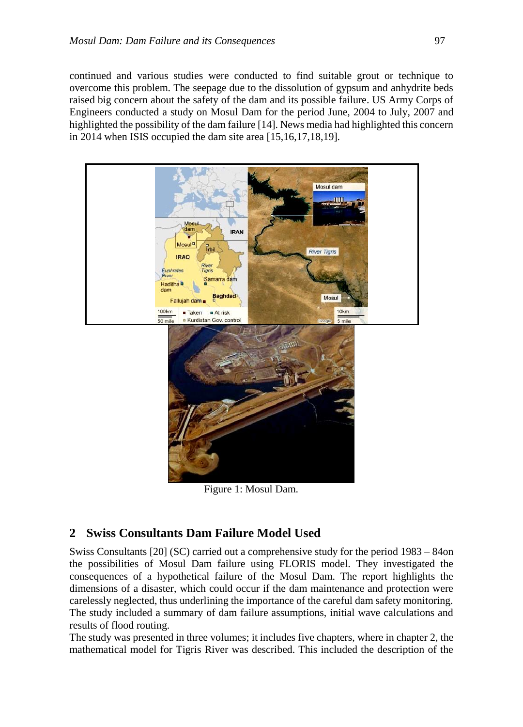continued and various studies were conducted to find suitable grout or technique to overcome this problem. The seepage due to the dissolution of gypsum and anhydrite beds raised big concern about the safety of the dam and its possible failure. US Army Corps of Engineers conducted a study on Mosul Dam for the period June, 2004 to July, 2007 and highlighted the possibility of the dam failure [14]. News media had highlighted this concern in 2014 when ISIS occupied the dam site area [15,16,17,18,19].



Figure 1: Mosul Dam.

# **2 Swiss Consultants Dam Failure Model Used**

Swiss Consultants [20] (SC) carried out a comprehensive study for the period 1983 – 84on the possibilities of Mosul Dam failure using FLORIS model. They investigated the consequences of a hypothetical failure of the Mosul Dam. The report highlights the dimensions of a disaster, which could occur if the dam maintenance and protection were carelessly neglected, thus underlining the importance of the careful dam safety monitoring. The study included a summary of dam failure assumptions, initial wave calculations and results of flood routing.

The study was presented in three volumes; it includes five chapters, where in chapter 2, the mathematical model for Tigris River was described. This included the description of the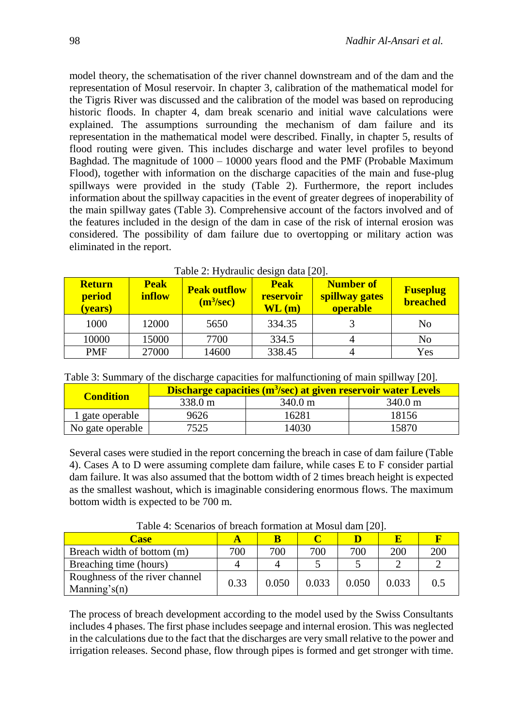model theory, the schematisation of the river channel downstream and of the dam and the representation of Mosul reservoir. In chapter 3, calibration of the mathematical model for the Tigris River was discussed and the calibration of the model was based on reproducing historic floods. In chapter 4, dam break scenario and initial wave calculations were explained. The assumptions surrounding the mechanism of dam failure and its representation in the mathematical model were described. Finally, in chapter 5, results of flood routing were given. This includes discharge and water level profiles to beyond Baghdad. The magnitude of 1000 – 10000 years flood and the PMF (Probable Maximum Flood), together with information on the discharge capacities of the main and fuse-plug spillways were provided in the study (Table 2). Furthermore, the report includes information about the spillway capacities in the event of greater degrees of inoperability of the main spillway gates (Table 3). Comprehensive account of the factors involved and of the features included in the design of the dam in case of the risk of internal erosion was considered. The possibility of dam failure due to overtopping or military action was eliminated in the report.

| <b>Return</b><br>period<br>(vears) | <b>Peak</b><br><b>inflow</b> | <b>Peak outflow</b><br>(m <sup>3</sup> /sec) | <b>Peak</b><br>reservoir<br>$\mathbf{WL}$ (m) | <b>Number of</b><br>spillway gates<br><b>operable</b> | <b>Fuseplug</b><br><b>breached</b> |
|------------------------------------|------------------------------|----------------------------------------------|-----------------------------------------------|-------------------------------------------------------|------------------------------------|
| 1000                               | 12000                        | 5650                                         | 334.35                                        |                                                       | No                                 |
| 10000                              | 15000                        | 7700                                         | 334.5                                         |                                                       | No                                 |
| <b>PMF</b>                         | 27000                        | 14600                                        | 338.45                                        |                                                       | Yes                                |

| Table 2: Hydraulic design data [20]. |
|--------------------------------------|
|--------------------------------------|

| Table 3: Summary of the discharge capacities for malfunctioning of main spillway [20]. |  |  |  |  |  |  |  |
|----------------------------------------------------------------------------------------|--|--|--|--|--|--|--|
|----------------------------------------------------------------------------------------|--|--|--|--|--|--|--|

| <b>Condition</b> | Discharge capacities (m <sup>3</sup> /sec) at given reservoir water Levels |                   |         |  |  |
|------------------|----------------------------------------------------------------------------|-------------------|---------|--|--|
|                  | 338.0 m                                                                    | $340.0 \text{ m}$ | 340.0 m |  |  |
| 1 gate operable  | 9626                                                                       | 16281             | 18156   |  |  |
| No gate operable | 7525                                                                       | ،4030             | 15870   |  |  |

Several cases were studied in the report concerning the breach in case of dam failure (Table 4). Cases A to D were assuming complete dam failure, while cases E to F consider partial dam failure. It was also assumed that the bottom width of 2 times breach height is expected as the smallest washout, which is imaginable considering enormous flows. The maximum bottom width is expected to be 700 m.

| TWOTER IN DESIGNATION OF OPERATION TOTHING ON A STROUGH GAME THOU |      |       |       |       |       |     |  |
|-------------------------------------------------------------------|------|-------|-------|-------|-------|-----|--|
| <b>Case</b>                                                       |      |       |       |       |       |     |  |
| Breach width of bottom (m)                                        | 700  | 700   | 700   | 700   | 200   | 200 |  |
| Breaching time (hours)                                            |      |       |       |       |       |     |  |
| Roughness of the river channel<br>Manning's $(n)$                 | 0.33 | 0.050 | 0.033 | 0.050 | 0.033 | 0.5 |  |

Table 4: Scenarios of breach formation at Mosul dam [20].

The process of breach development according to the model used by the Swiss Consultants includes 4 phases. The first phase includes seepage and internal erosion. This was neglected in the calculations due to the fact that the discharges are very small relative to the power and irrigation releases. Second phase, flow through pipes is formed and get stronger with time.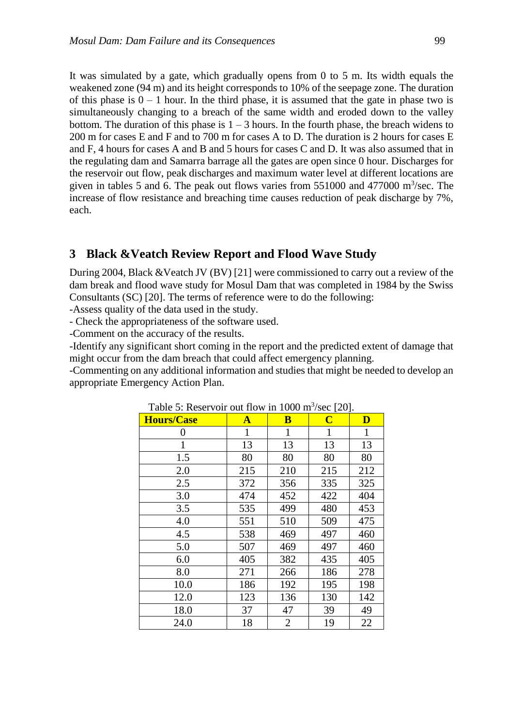It was simulated by a gate, which gradually opens from 0 to 5 m. Its width equals the weakened zone (94 m) and its height corresponds to 10% of the seepage zone. The duration of this phase is  $0 - 1$  hour. In the third phase, it is assumed that the gate in phase two is simultaneously changing to a breach of the same width and eroded down to the valley bottom. The duration of this phase is  $1 - 3$  hours. In the fourth phase, the breach widens to 200 m for cases E and F and to 700 m for cases A to D. The duration is 2 hours for cases E and F, 4 hours for cases A and B and 5 hours for cases C and D. It was also assumed that in the regulating dam and Samarra barrage all the gates are open since 0 hour. Discharges for the reservoir out flow, peak discharges and maximum water level at different locations are given in tables 5 and 6. The peak out flows varies from  $551000$  and  $477000$  m<sup>3</sup>/sec. The increase of flow resistance and breaching time causes reduction of peak discharge by 7%, each.

# **3 Black &Veatch Review Report and Flood Wave Study**

During 2004, Black &Veatch JV (BV) [21] were commissioned to carry out a review of the dam break and flood wave study for Mosul Dam that was completed in 1984 by the Swiss Consultants (SC) [20]. The terms of reference were to do the following:

-Assess quality of the data used in the study.

- Check the appropriateness of the software used.

-Comment on the accuracy of the results.

-Identify any significant short coming in the report and the predicted extent of damage that might occur from the dam breach that could affect emergency planning.

-Commenting on any additional information and studies that might be needed to develop an appropriate Emergency Action Plan.

| $\frac{1}{2}$<br><b>Hours/Case</b> | $\mathbf{A}$ | B   | $\overline{\mathbf{C}}$ | $\mathbf{D}$ |
|------------------------------------|--------------|-----|-------------------------|--------------|
|                                    |              |     |                         |              |
| 0                                  | 1            | 1   | 1                       | 1            |
| 1                                  | 13           | 13  | 13                      | 13           |
| 1.5                                | 80           | 80  | 80                      | 80           |
| 2.0                                | 215          | 210 | 215                     | 212          |
| 2.5                                | 372          | 356 | 335                     | 325          |
| 3.0                                | 474          | 452 | 422                     | 404          |
| 3.5                                | 535          | 499 | 480                     | 453          |
| 4.0                                | 551          | 510 | 509                     | 475          |
| 4.5                                | 538          | 469 | 497                     | 460          |
| 5.0                                | 507          | 469 | 497                     | 460          |
| 6.0                                | 405          | 382 | 435                     | 405          |
| 8.0                                | 271          | 266 | 186                     | 278          |
| 10.0                               | 186          | 192 | 195                     | 198          |
| 12.0                               | 123          | 136 | 130                     | 142          |
| 18.0                               | 37           | 47  | 39                      | 49           |
| 24.0                               | 18           | 2   | 19                      | 22           |

Table 5: Reservoir out flow in  $1000 \text{ m}^3/\text{sec}$  [20].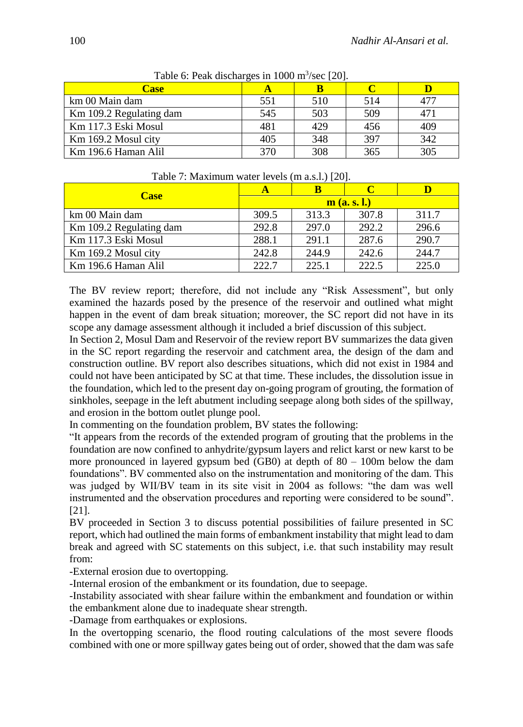| <b>Case</b>             |     |     |     |     |
|-------------------------|-----|-----|-----|-----|
| km 00 Main dam          | 551 | 510 | 514 | 477 |
| Km 109.2 Regulating dam | 545 | 503 | 509 | 471 |
| Km 117.3 Eski Mosul     | 481 | 429 | 456 | 409 |
| Km 169.2 Mosul city     | 405 | 348 | 397 | 342 |
| Km 196.6 Haman Alil     | 370 | 308 | 365 | 305 |

Table 6: Peak discharges in  $1000 \text{ m}^3/\text{sec}$  [20].

| $1$ able $7$ . Maximum water levels (in a.s.1.) $ 20 $ . |                         |       |       |       |  |  |  |
|----------------------------------------------------------|-------------------------|-------|-------|-------|--|--|--|
| <b>Case</b>                                              |                         |       |       |       |  |  |  |
|                                                          | $\mathbf{m}$ (a. s. l.) |       |       |       |  |  |  |
| km 00 Main dam                                           | 309.5                   | 313.3 | 307.8 | 311.7 |  |  |  |
| Km 109.2 Regulating dam                                  | 292.8                   | 297.0 | 292.2 | 296.6 |  |  |  |
| Km 117.3 Eski Mosul                                      | 288.1                   | 291.1 | 287.6 | 290.7 |  |  |  |
| Km 169.2 Mosul city                                      | 242.8                   | 244.9 | 242.6 | 244.7 |  |  |  |

Km 196.6 Haman Alil 222.7 225.1 222.5 225.0

Table 7: Maximum water levels (m a.s.l.) [20].

The BV review report; therefore, did not include any "Risk Assessment", but only examined the hazards posed by the presence of the reservoir and outlined what might happen in the event of dam break situation; moreover, the SC report did not have in its scope any damage assessment although it included a brief discussion of this subject.

In Section 2, Mosul Dam and Reservoir of the review report BV summarizes the data given in the SC report regarding the reservoir and catchment area, the design of the dam and construction outline. BV report also describes situations, which did not exist in 1984 and could not have been anticipated by SC at that time. These includes, the dissolution issue in the foundation, which led to the present day on-going program of grouting, the formation of sinkholes, seepage in the left abutment including seepage along both sides of the spillway, and erosion in the bottom outlet plunge pool.

In commenting on the foundation problem, BV states the following:

"It appears from the records of the extended program of grouting that the problems in the foundation are now confined to anhydrite/gypsum layers and relict karst or new karst to be more pronounced in layered gypsum bed (GB0) at depth of 80 – 100m below the dam foundations". BV commented also on the instrumentation and monitoring of the dam. This was judged by WII/BV team in its site visit in 2004 as follows: "the dam was well instrumented and the observation procedures and reporting were considered to be sound". [21].

BV proceeded in Section 3 to discuss potential possibilities of failure presented in SC report, which had outlined the main forms of embankment instability that might lead to dam break and agreed with SC statements on this subject, i.e. that such instability may result from:

-External erosion due to overtopping.

-Internal erosion of the embankment or its foundation, due to seepage.

-Instability associated with shear failure within the embankment and foundation or within the embankment alone due to inadequate shear strength.

-Damage from earthquakes or explosions.

In the overtopping scenario, the flood routing calculations of the most severe floods combined with one or more spillway gates being out of order, showed that the dam was safe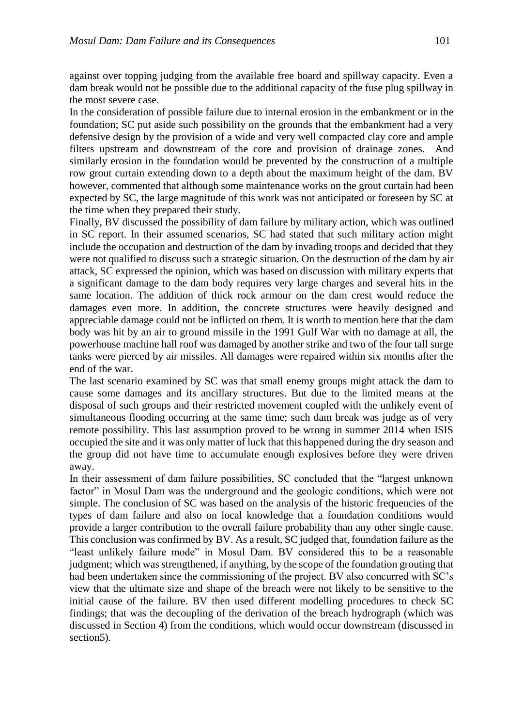against over topping judging from the available free board and spillway capacity. Even a dam break would not be possible due to the additional capacity of the fuse plug spillway in the most severe case.

In the consideration of possible failure due to internal erosion in the embankment or in the foundation; SC put aside such possibility on the grounds that the embankment had a very defensive design by the provision of a wide and very well compacted clay core and ample filters upstream and downstream of the core and provision of drainage zones. And similarly erosion in the foundation would be prevented by the construction of a multiple row grout curtain extending down to a depth about the maximum height of the dam. BV however, commented that although some maintenance works on the grout curtain had been expected by SC, the large magnitude of this work was not anticipated or foreseen by SC at the time when they prepared their study.

Finally, BV discussed the possibility of dam failure by military action, which was outlined in SC report. In their assumed scenarios, SC had stated that such military action might include the occupation and destruction of the dam by invading troops and decided that they were not qualified to discuss such a strategic situation. On the destruction of the dam by air attack, SC expressed the opinion, which was based on discussion with military experts that a significant damage to the dam body requires very large charges and several hits in the same location. The addition of thick rock armour on the dam crest would reduce the damages even more. In addition, the concrete structures were heavily designed and appreciable damage could not be inflicted on them. It is worth to mention here that the dam body was hit by an air to ground missile in the 1991 Gulf War with no damage at all, the powerhouse machine hall roof was damaged by another strike and two of the four tall surge tanks were pierced by air missiles. All damages were repaired within six months after the end of the war.

The last scenario examined by SC was that small enemy groups might attack the dam to cause some damages and its ancillary structures. But due to the limited means at the disposal of such groups and their restricted movement coupled with the unlikely event of simultaneous flooding occurring at the same time; such dam break was judge as of very remote possibility. This last assumption proved to be wrong in summer 2014 when ISIS occupied the site and it was only matter of luck that this happened during the dry season and the group did not have time to accumulate enough explosives before they were driven away.

In their assessment of dam failure possibilities, SC concluded that the "largest unknown factor" in Mosul Dam was the underground and the geologic conditions, which were not simple. The conclusion of SC was based on the analysis of the historic frequencies of the types of dam failure and also on local knowledge that a foundation conditions would provide a larger contribution to the overall failure probability than any other single cause. This conclusion was confirmed by BV. As a result, SC judged that, foundation failure as the "least unlikely failure mode" in Mosul Dam. BV considered this to be a reasonable judgment; which was strengthened, if anything, by the scope of the foundation grouting that had been undertaken since the commissioning of the project. BV also concurred with SC's view that the ultimate size and shape of the breach were not likely to be sensitive to the initial cause of the failure. BV then used different modelling procedures to check SC findings; that was the decoupling of the derivation of the breach hydrograph (which was discussed in Section 4) from the conditions, which would occur downstream (discussed in section<sub>5</sub>).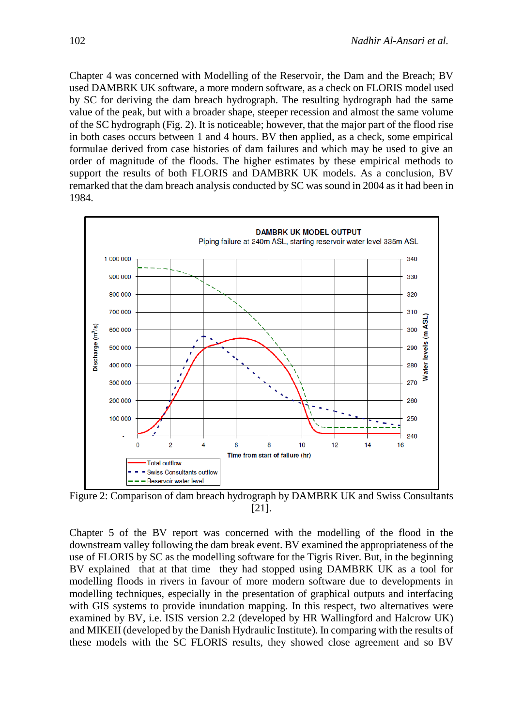Chapter 4 was concerned with Modelling of the Reservoir, the Dam and the Breach; BV used DAMBRK UK software, a more modern software, as a check on FLORIS model used by SC for deriving the dam breach hydrograph. The resulting hydrograph had the same value of the peak, but with a broader shape, steeper recession and almost the same volume of the SC hydrograph (Fig. 2). It is noticeable; however, that the major part of the flood rise in both cases occurs between 1 and 4 hours. BV then applied, as a check, some empirical formulae derived from case histories of dam failures and which may be used to give an order of magnitude of the floods. The higher estimates by these empirical methods to support the results of both FLORIS and DAMBRK UK models. As a conclusion, BV remarked that the dam breach analysis conducted by SC was sound in 2004 as it had been in 1984.



Figure 2: Comparison of dam breach hydrograph by DAMBRK UK and Swiss Consultants [21].

Chapter 5 of the BV report was concerned with the modelling of the flood in the downstream valley following the dam break event. BV examined the appropriateness of the use of FLORIS by SC as the modelling software for the Tigris River. But, in the beginning BV explained that at that time they had stopped using DAMBRK UK as a tool for modelling floods in rivers in favour of more modern software due to developments in modelling techniques, especially in the presentation of graphical outputs and interfacing with GIS systems to provide inundation mapping. In this respect, two alternatives were examined by BV, i.e. ISIS version 2.2 (developed by HR Wallingford and Halcrow UK) and MIKEII (developed by the Danish Hydraulic Institute). In comparing with the results of these models with the SC FLORIS results, they showed close agreement and so BV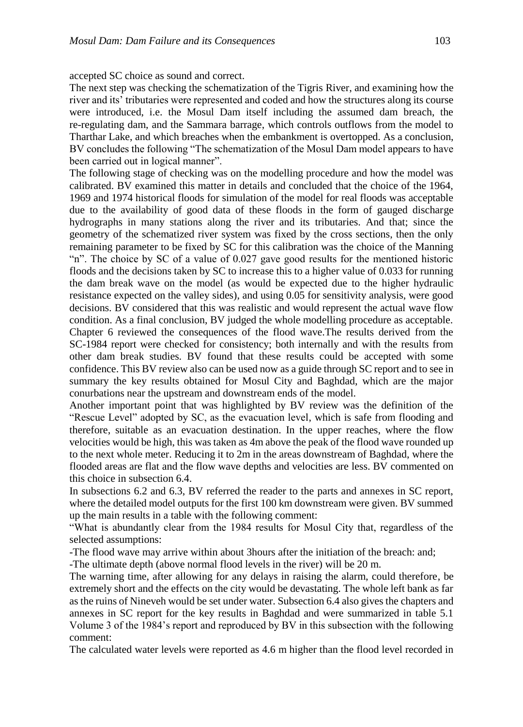accepted SC choice as sound and correct.

The next step was checking the schematization of the Tigris River, and examining how the river and its' tributaries were represented and coded and how the structures along its course were introduced, i.e. the Mosul Dam itself including the assumed dam breach, the re-regulating dam, and the Sammara barrage, which controls outflows from the model to Tharthar Lake, and which breaches when the embankment is overtopped. As a conclusion, BV concludes the following "The schematization of the Mosul Dam model appears to have been carried out in logical manner".

The following stage of checking was on the modelling procedure and how the model was calibrated. BV examined this matter in details and concluded that the choice of the 1964, 1969 and 1974 historical floods for simulation of the model for real floods was acceptable due to the availability of good data of these floods in the form of gauged discharge hydrographs in many stations along the river and its tributaries. And that; since the geometry of the schematized river system was fixed by the cross sections, then the only remaining parameter to be fixed by SC for this calibration was the choice of the Manning "n". The choice by SC of a value of 0.027 gave good results for the mentioned historic floods and the decisions taken by SC to increase this to a higher value of 0.033 for running the dam break wave on the model (as would be expected due to the higher hydraulic resistance expected on the valley sides), and using 0.05 for sensitivity analysis, were good decisions. BV considered that this was realistic and would represent the actual wave flow condition. As a final conclusion, BV judged the whole modelling procedure as acceptable. Chapter 6 reviewed the consequences of the flood wave.The results derived from the SC-1984 report were checked for consistency; both internally and with the results from other dam break studies. BV found that these results could be accepted with some confidence. This BV review also can be used now as a guide through SC report and to see in summary the key results obtained for Mosul City and Baghdad, which are the major conurbations near the upstream and downstream ends of the model.

Another important point that was highlighted by BV review was the definition of the "Rescue Level" adopted by SC, as the evacuation level, which is safe from flooding and therefore, suitable as an evacuation destination. In the upper reaches, where the flow velocities would be high, this was taken as 4m above the peak of the flood wave rounded up to the next whole meter. Reducing it to 2m in the areas downstream of Baghdad, where the flooded areas are flat and the flow wave depths and velocities are less. BV commented on this choice in subsection 6.4.

In subsections 6.2 and 6.3, BV referred the reader to the parts and annexes in SC report, where the detailed model outputs for the first 100 km downstream were given. BV summed up the main results in a table with the following comment:

"What is abundantly clear from the 1984 results for Mosul City that, regardless of the selected assumptions:

-The flood wave may arrive within about 3hours after the initiation of the breach: and;

-The ultimate depth (above normal flood levels in the river) will be 20 m.

The warning time, after allowing for any delays in raising the alarm, could therefore, be extremely short and the effects on the city would be devastating. The whole left bank as far as the ruins of Nineveh would be set under water. Subsection 6.4 also gives the chapters and annexes in SC report for the key results in Baghdad and were summarized in table 5.1 Volume 3 of the 1984's report and reproduced by BV in this subsection with the following comment:

The calculated water levels were reported as 4.6 m higher than the flood level recorded in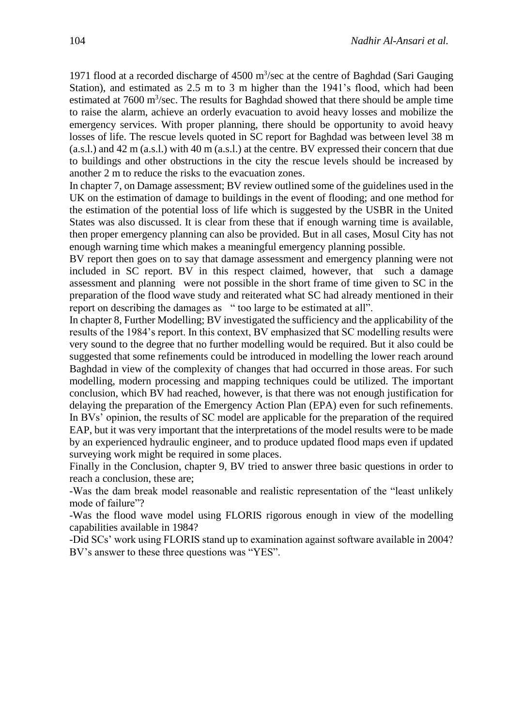1971 flood at a recorded discharge of  $4500 \text{ m}^3/\text{sec}$  at the centre of Baghdad (Sari Gauging Station), and estimated as 2.5 m to 3 m higher than the 1941's flood, which had been estimated at 7600 m<sup>3</sup>/sec. The results for Baghdad showed that there should be ample time to raise the alarm, achieve an orderly evacuation to avoid heavy losses and mobilize the emergency services. With proper planning, there should be opportunity to avoid heavy losses of life. The rescue levels quoted in SC report for Baghdad was between level 38 m (a.s.l.) and 42 m (a.s.l.) with 40 m (a.s.l.) at the centre. BV expressed their concern that due to buildings and other obstructions in the city the rescue levels should be increased by another 2 m to reduce the risks to the evacuation zones.

In chapter 7, on Damage assessment; BV review outlined some of the guidelines used in the UK on the estimation of damage to buildings in the event of flooding; and one method for the estimation of the potential loss of life which is suggested by the USBR in the United States was also discussed. It is clear from these that if enough warning time is available, then proper emergency planning can also be provided. But in all cases, Mosul City has not enough warning time which makes a meaningful emergency planning possible.

BV report then goes on to say that damage assessment and emergency planning were not included in SC report. BV in this respect claimed, however, that such a damage assessment and planning were not possible in the short frame of time given to SC in the preparation of the flood wave study and reiterated what SC had already mentioned in their report on describing the damages as " too large to be estimated at all".

In chapter 8, Further Modelling; BV investigated the sufficiency and the applicability of the results of the 1984's report. In this context, BV emphasized that SC modelling results were very sound to the degree that no further modelling would be required. But it also could be suggested that some refinements could be introduced in modelling the lower reach around Baghdad in view of the complexity of changes that had occurred in those areas. For such modelling, modern processing and mapping techniques could be utilized. The important conclusion, which BV had reached, however, is that there was not enough justification for delaying the preparation of the Emergency Action Plan (EPA) even for such refinements. In BVs' opinion, the results of SC model are applicable for the preparation of the required EAP, but it was very important that the interpretations of the model results were to be made by an experienced hydraulic engineer, and to produce updated flood maps even if updated surveying work might be required in some places.

Finally in the Conclusion, chapter 9, BV tried to answer three basic questions in order to reach a conclusion, these are;

-Was the dam break model reasonable and realistic representation of the "least unlikely mode of failure"?

-Was the flood wave model using FLORIS rigorous enough in view of the modelling capabilities available in 1984?

-Did SCs' work using FLORIS stand up to examination against software available in 2004? BV's answer to these three questions was "YES".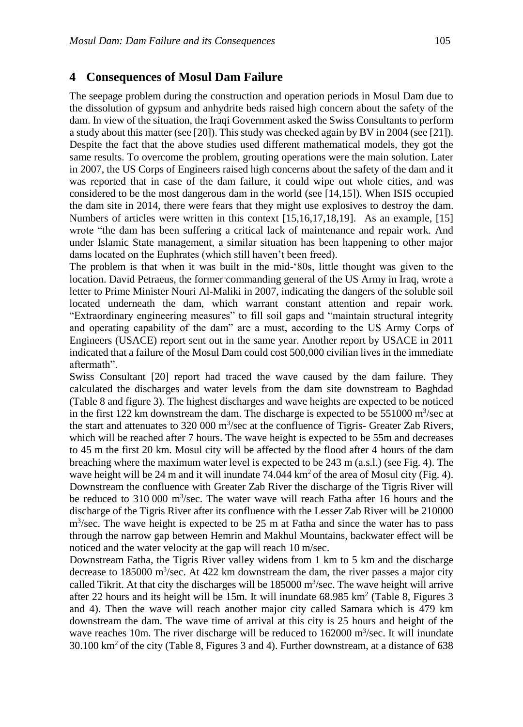#### **4 Consequences of Mosul Dam Failure**

The seepage problem during the construction and operation periods in Mosul Dam due to the dissolution of gypsum and anhydrite beds raised high concern about the safety of the dam. In view of the situation, the Iraqi Government asked the Swiss Consultants to perform a study about this matter (see [20]). This study was checked again by BV in 2004 (see [21]). Despite the fact that the above studies used different mathematical models, they got the same results. To overcome the problem, grouting operations were the main solution. Later in 2007, the US Corps of Engineers raised high concerns about the safety of the dam and it was reported that in case of the dam failure, it could wipe out whole cities, and was considered to be the most dangerous dam in the world (see [14,15]). When ISIS occupied the dam site in 2014, there were fears that they might use explosives to destroy the dam. Numbers of articles were written in this context [15,16,17,18,19]. As an example, [15] wrote "the dam has been suffering a critical lack of maintenance and repair work. And under Islamic State management, a similar situation has been happening to other major dams located on the Euphrates (which still haven't been freed).

The problem is that when it was built in the mid-'80s, little thought was given to the location. David Petraeus, the former commanding general of the US Army in Iraq, wrote a letter to Prime Minister Nouri Al-Maliki in 2007, indicating the dangers of the soluble soil located underneath the dam, which warrant constant attention and repair work. "Extraordinary engineering measures" to fill soil gaps and "maintain structural integrity and operating capability of the dam" are a must, according to the US Army Corps of Engineers (USACE) report sent out in the same year. Another report by USACE in 2011 indicated that a failure of the Mosul Dam could cost 500,000 civilian lives in the immediate aftermath".

Swiss Consultant [20] report had traced the wave caused by the dam failure. They calculated the discharges and water levels from the dam site downstream to Baghdad (Table 8 and figure 3). The highest discharges and wave heights are expected to be noticed in the first 122 km downstream the dam. The discharge is expected to be  $551000 \text{ m}^3/\text{sec}$  at the start and attenuates to 320 000 m<sup>3</sup>/sec at the confluence of Tigris- Greater Zab Rivers, which will be reached after 7 hours. The wave height is expected to be 55m and decreases to 45 m the first 20 km. Mosul city will be affected by the flood after 4 hours of the dam breaching where the maximum water level is expected to be 243 m (a.s.l.) (see Fig. 4). The wave height will be 24 m and it will inundate  $74.044 \text{ km}^2$  of the area of Mosul city (Fig. 4). Downstream the confluence with Greater Zab River the discharge of the Tigris River will be reduced to 310 000 m<sup>3</sup>/sec. The water wave will reach Fatha after 16 hours and the discharge of the Tigris River after its confluence with the Lesser Zab River will be 210000 m<sup>3</sup>/sec. The wave height is expected to be 25 m at Fatha and since the water has to pass through the narrow gap between Hemrin and Makhul Mountains, backwater effect will be noticed and the water velocity at the gap will reach 10 m/sec.

Downstream Fatha, the Tigris River valley widens from 1 km to 5 km and the discharge decrease to 185000  $\text{m}^3/\text{sec}$ . At 422 km downstream the dam, the river passes a major city called Tikrit. At that city the discharges will be  $185000 \text{ m}^3/\text{sec}$ . The wave height will arrive after 22 hours and its height will be 15m. It will inundate 68.985 km<sup>2</sup> (Table 8, Figures 3 and 4). Then the wave will reach another major city called Samara which is 479 km downstream the dam. The wave time of arrival at this city is 25 hours and height of the wave reaches 10m. The river discharge will be reduced to  $162000 \text{ m}^3/\text{sec}$ . It will inundate  $30.100 \text{ km}^2$  of the city (Table 8, Figures 3 and 4). Further downstream, at a distance of 638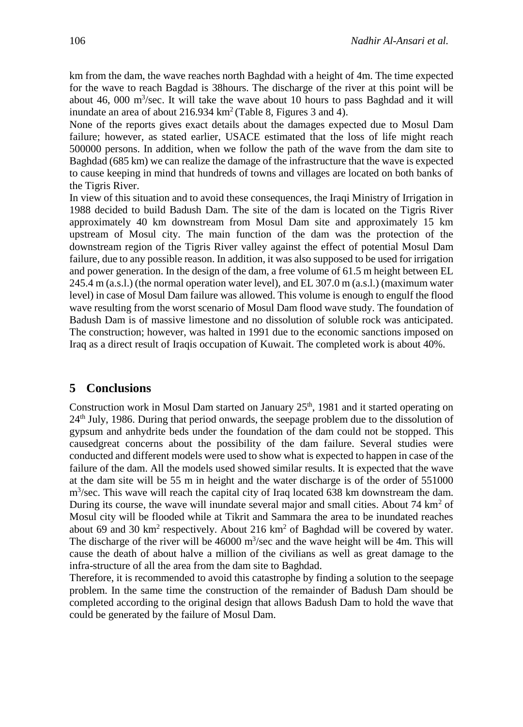km from the dam, the wave reaches north Baghdad with a height of 4m. The time expected for the wave to reach Bagdad is 38hours. The discharge of the river at this point will be about 46, 000  $\mathrm{m}^3/\mathrm{sec}$ . It will take the wave about 10 hours to pass Baghdad and it will inundate an area of about  $216.934 \text{ km}^2$  (Table 8, Figures 3 and 4).

None of the reports gives exact details about the damages expected due to Mosul Dam failure; however, as stated earlier, USACE estimated that the loss of life might reach 500000 persons. In addition, when we follow the path of the wave from the dam site to Baghdad (685 km) we can realize the damage of the infrastructure that the wave is expected to cause keeping in mind that hundreds of towns and villages are located on both banks of the Tigris River.

In view of this situation and to avoid these consequences, the Iraqi Ministry of Irrigation in 1988 decided to build Badush Dam. The site of the dam is located on the Tigris River approximately 40 km downstream from Mosul Dam site and approximately 15 km upstream of Mosul city. The main function of the dam was the protection of the downstream region of the Tigris River valley against the effect of potential Mosul Dam failure, due to any possible reason. In addition, it was also supposed to be used for irrigation and power generation. In the design of the dam, a free volume of 61.5 m height between EL 245.4 m (a.s.l.) (the normal operation water level), and EL 307.0 m (a.s.l.) (maximum water level) in case of Mosul Dam failure was allowed. This volume is enough to engulf the flood wave resulting from the worst scenario of Mosul Dam flood wave study. The foundation of Badush Dam is of massive limestone and no dissolution of soluble rock was anticipated. The construction; however, was halted in 1991 due to the economic sanctions imposed on Iraq as a direct result of Iraqis occupation of Kuwait. The completed work is about 40%.

#### **5 Conclusions**

Construction work in Mosul Dam started on January  $25<sup>th</sup>$ , 1981 and it started operating on  $24<sup>th</sup>$  July, 1986. During that period onwards, the seepage problem due to the dissolution of gypsum and anhydrite beds under the foundation of the dam could not be stopped. This causedgreat concerns about the possibility of the dam failure. Several studies were conducted and different models were used to show what is expected to happen in case of the failure of the dam. All the models used showed similar results. It is expected that the wave at the dam site will be 55 m in height and the water discharge is of the order of 551000 m<sup>3</sup>/sec. This wave will reach the capital city of Iraq located 638 km downstream the dam. During its course, the wave will inundate several major and small cities. About  $74 \text{ km}^2$  of Mosul city will be flooded while at Tikrit and Sammara the area to be inundated reaches about 69 and 30  $km^2$  respectively. About 216  $km^2$  of Baghdad will be covered by water. The discharge of the river will be  $46000 \text{ m}^3/\text{sec}$  and the wave height will be 4m. This will cause the death of about halve a million of the civilians as well as great damage to the infra-structure of all the area from the dam site to Baghdad.

Therefore, it is recommended to avoid this catastrophe by finding a solution to the seepage problem. In the same time the construction of the remainder of Badush Dam should be completed according to the original design that allows Badush Dam to hold the wave that could be generated by the failure of Mosul Dam.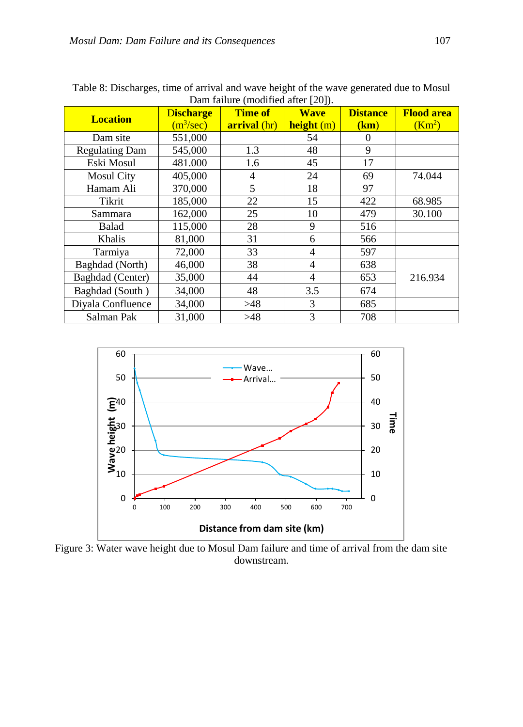| <b>Location</b>       | <b>Discharge</b> | <b>Time of</b>      | <b>Wave</b> | <b>Distance</b> | <b>Flood area</b>  |
|-----------------------|------------------|---------------------|-------------|-----------------|--------------------|
|                       | $(m^3/sec)$      | <b>arrival</b> (hr) | height (m)  | (km)            | (Km <sup>2</sup> ) |
| Dam site              | 551,000          |                     | 54          | $\Omega$        |                    |
| <b>Regulating Dam</b> | 545,000          | 1.3                 | 48          | 9               |                    |
| Eski Mosul            | 481.000          | 1.6                 | 45          | 17              |                    |
| <b>Mosul City</b>     | 405,000          | 4                   | 24          | 69              | 74.044             |
| Hamam Ali             | 370,000          | 5                   | 18          | 97              |                    |
| Tikrit                | 185,000          | 22                  | 15          | 422             | 68.985             |
| Sammara               | 162,000          | 25                  | 10          | 479             | 30.100             |
| Balad                 | 115,000          | 28                  | 9           | 516             |                    |
| Khalis                | 81,000           | 31                  | 6           | 566             |                    |
| Tarmiya               | 72,000           | 33                  | 4           | 597             |                    |
| Baghdad (North)       | 46,000           | 38                  | 4           | 638             |                    |
| Baghdad (Center)      | 35,000           | 44                  | 4           | 653             | 216.934            |
| Baghdad (South)       | 34,000           | 48                  | 3.5         | 674             |                    |
| Diyala Confluence     | 34,000           | >48                 | 3           | 685             |                    |
| Salman Pak            | 31,000           | >48                 | 3           | 708             |                    |

Table 8: Discharges, time of arrival and wave height of the wave generated due to Mosul Dam failure (modified after [20]).



Figure 3: Water wave height due to Mosul Dam failure and time of arrival from the dam site downstream.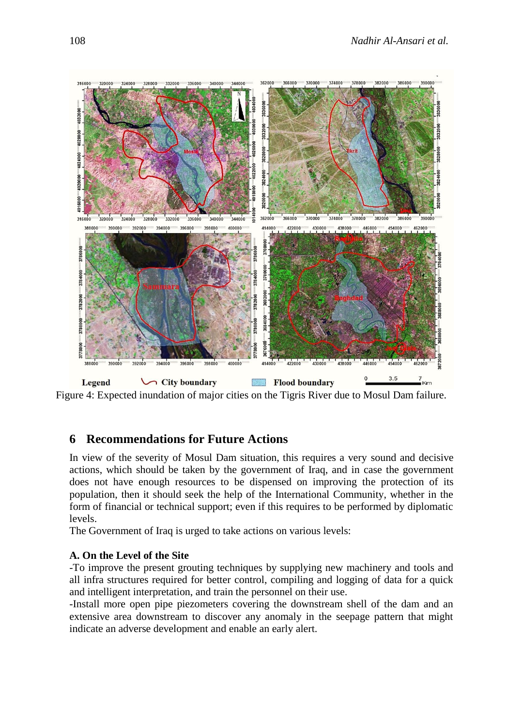

Figure 4: Expected inundation of major cities on the Tigris River due to Mosul Dam failure.

## **6 Recommendations for Future Actions**

In view of the severity of Mosul Dam situation, this requires a very sound and decisive actions, which should be taken by the government of Iraq, and in case the government does not have enough resources to be dispensed on improving the protection of its population, then it should seek the help of the International Community, whether in the form of financial or technical support; even if this requires to be performed by diplomatic levels.

The Government of Iraq is urged to take actions on various levels:

#### **A. On the Level of the Site**

-To improve the present grouting techniques by supplying new machinery and tools and all infra structures required for better control, compiling and logging of data for a quick and intelligent interpretation, and train the personnel on their use.

-Install more open pipe piezometers covering the downstream shell of the dam and an extensive area downstream to discover any anomaly in the seepage pattern that might indicate an adverse development and enable an early alert.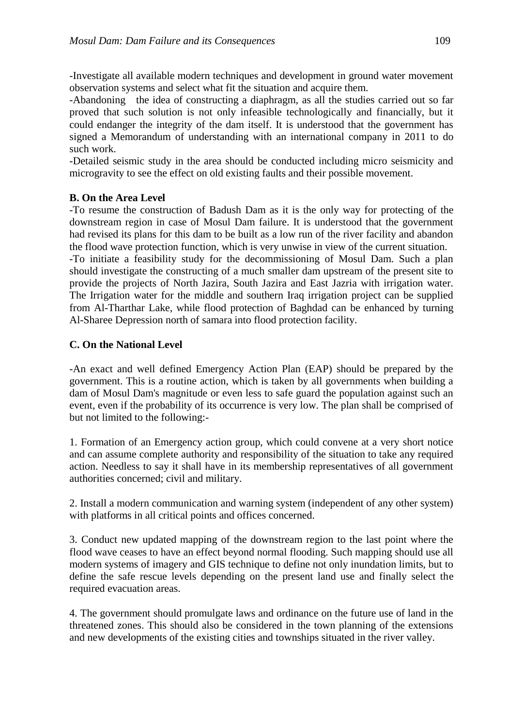-Investigate all available modern techniques and development in ground water movement observation systems and select what fit the situation and acquire them.

-Abandoning the idea of constructing a diaphragm, as all the studies carried out so far proved that such solution is not only infeasible technologically and financially, but it could endanger the integrity of the dam itself. It is understood that the government has signed a Memorandum of understanding with an international company in 2011 to do such work.

-Detailed seismic study in the area should be conducted including micro seismicity and microgravity to see the effect on old existing faults and their possible movement.

#### **B. On the Area Level**

-To resume the construction of Badush Dam as it is the only way for protecting of the downstream region in case of Mosul Dam failure. It is understood that the government had revised its plans for this dam to be built as a low run of the river facility and abandon the flood wave protection function, which is very unwise in view of the current situation.

-To initiate a feasibility study for the decommissioning of Mosul Dam. Such a plan should investigate the constructing of a much smaller dam upstream of the present site to provide the projects of North Jazira, South Jazira and East Jazria with irrigation water. The Irrigation water for the middle and southern Iraq irrigation project can be supplied from Al-Tharthar Lake, while flood protection of Baghdad can be enhanced by turning Al-Sharee Depression north of samara into flood protection facility.

#### **C. On the National Level**

-An exact and well defined Emergency Action Plan (EAP) should be prepared by the government. This is a routine action, which is taken by all governments when building a dam of Mosul Dam's magnitude or even less to safe guard the population against such an event, even if the probability of its occurrence is very low. The plan shall be comprised of but not limited to the following:-

1. Formation of an Emergency action group, which could convene at a very short notice and can assume complete authority and responsibility of the situation to take any required action. Needless to say it shall have in its membership representatives of all government authorities concerned; civil and military.

2. Install a modern communication and warning system (independent of any other system) with platforms in all critical points and offices concerned.

3. Conduct new updated mapping of the downstream region to the last point where the flood wave ceases to have an effect beyond normal flooding. Such mapping should use all modern systems of imagery and GIS technique to define not only inundation limits, but to define the safe rescue levels depending on the present land use and finally select the required evacuation areas.

4. The government should promulgate laws and ordinance on the future use of land in the threatened zones. This should also be considered in the town planning of the extensions and new developments of the existing cities and townships situated in the river valley.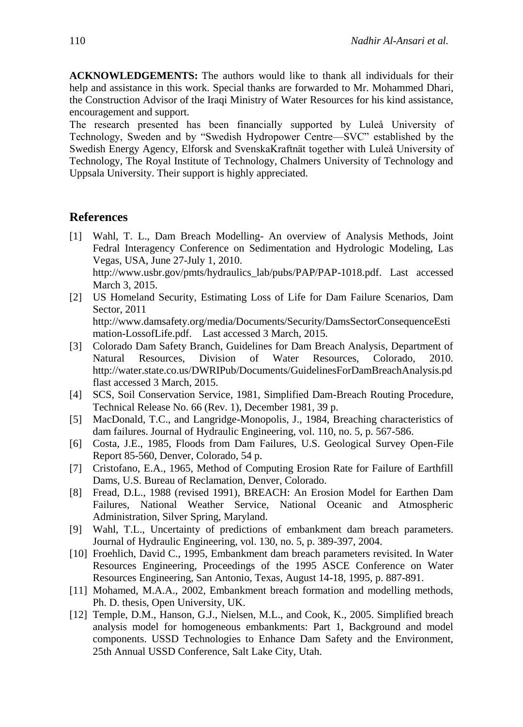**ACKNOWLEDGEMENTS:** The authors would like to thank all individuals for their help and assistance in this work. Special thanks are forwarded to Mr. Mohammed Dhari, the Construction Advisor of the Iraqi Ministry of Water Resources for his kind assistance, encouragement and support.

The research presented has been financially supported by Luleå University of Technology, Sweden and by "Swedish Hydropower Centre—SVC" established by the Swedish Energy Agency, Elforsk and SvenskaKraftnät together with Luleå University of Technology, The Royal Institute of Technology, Chalmers University of Technology and Uppsala University. Their support is highly appreciated.

#### **References**

- [1] Wahl, T. L., Dam Breach Modelling- An overview of Analysis Methods, Joint Fedral Interagency Conference on Sedimentation and Hydrologic Modeling, Las Vegas, USA, June 27-July 1, 2010. http://www.usbr.gov/pmts/hydraulics\_lab/pubs/PAP/PAP-1018.pdf. Last accessed March 3, 2015.
- [2] US Homeland Security, Estimating Loss of Life for Dam Failure Scenarios, Dam Sector, 2011 http://www.damsafety.org/media/Documents/Security/DamsSectorConsequenceEsti mation-LossofLife.pdf. Last accessed 3 March, 2015.
- [3] Colorado Dam Safety Branch, Guidelines for Dam Breach Analysis, Department of Natural Resources, Division of Water Resources, Colorado, 2010. http://water.state.co.us/DWRIPub/Documents/GuidelinesForDamBreachAnalysis.pd flast accessed 3 March, 2015.
- [4] SCS, Soil Conservation Service, 1981, Simplified Dam-Breach Routing Procedure, Technical Release No. 66 (Rev. 1), December 1981, 39 p.
- [5] MacDonald, T.C., and Langridge-Monopolis, J., 1984, Breaching characteristics of dam failures. Journal of Hydraulic Engineering, vol. 110, no. 5, p. 567-586.
- [6] Costa, J.E., 1985, Floods from Dam Failures, U.S. Geological Survey Open-File Report 85-560, Denver, Colorado, 54 p.
- [7] Cristofano, E.A., 1965, Method of Computing Erosion Rate for Failure of Earthfill Dams, U.S. Bureau of Reclamation, Denver, Colorado.
- [8] Fread, D.L., 1988 (revised 1991), BREACH: An Erosion Model for Earthen Dam Failures, National Weather Service, National Oceanic and Atmospheric Administration, Silver Spring, Maryland.
- [9] Wahl, T.L., Uncertainty of predictions of embankment dam breach parameters. Journal of Hydraulic Engineering, vol. 130, no. 5, p. 389-397, 2004.
- [10] Froehlich, David C., 1995, Embankment dam breach parameters revisited. In Water Resources Engineering, Proceedings of the 1995 ASCE Conference on Water Resources Engineering, San Antonio, Texas, August 14-18, 1995, p. 887-891.
- [11] Mohamed, M.A.A., 2002, Embankment breach formation and modelling methods, Ph. D. thesis, Open University, UK.
- [12] Temple, D.M., Hanson, G.J., Nielsen, M.L., and Cook, K., 2005. Simplified breach analysis model for homogeneous embankments: Part 1, Background and model components. USSD Technologies to Enhance Dam Safety and the Environment, 25th Annual USSD Conference, Salt Lake City, Utah.